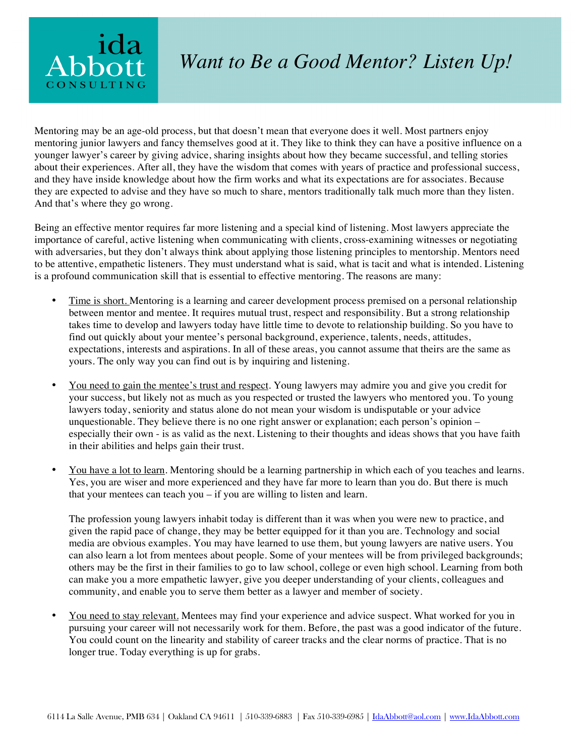

## *Want to Be a Good Mentor? Listen Up!*

Mentoring may be an age-old process, but that doesn't mean that everyone does it well. Most partners enjoy mentoring junior lawyers and fancy themselves good at it. They like to think they can have a positive influence on a younger lawyer's career by giving advice, sharing insights about how they became successful, and telling stories about their experiences. After all, they have the wisdom that comes with years of practice and professional success, and they have inside knowledge about how the firm works and what its expectations are for associates. Because they are expected to advise and they have so much to share, mentors traditionally talk much more than they listen. And that's where they go wrong.

Being an effective mentor requires far more listening and a special kind of listening. Most lawyers appreciate the importance of careful, active listening when communicating with clients, cross-examining witnesses or negotiating with adversaries, but they don't always think about applying those listening principles to mentorship. Mentors need to be attentive, empathetic listeners. They must understand what is said, what is tacit and what is intended. Listening is a profound communication skill that is essential to effective mentoring. The reasons are many:

- Time is short. Mentoring is a learning and career development process premised on a personal relationship between mentor and mentee. It requires mutual trust, respect and responsibility. But a strong relationship takes time to develop and lawyers today have little time to devote to relationship building. So you have to find out quickly about your mentee's personal background, experience, talents, needs, attitudes, expectations, interests and aspirations. In all of these areas, you cannot assume that theirs are the same as yours. The only way you can find out is by inquiring and listening.
- You need to gain the mentee's trust and respect. Young lawyers may admire you and give you credit for your success, but likely not as much as you respected or trusted the lawyers who mentored you. To young lawyers today, seniority and status alone do not mean your wisdom is undisputable or your advice unquestionable. They believe there is no one right answer or explanation; each person's opinion – especially their own - is as valid as the next. Listening to their thoughts and ideas shows that you have faith in their abilities and helps gain their trust.
- You have a lot to learn. Mentoring should be a learning partnership in which each of you teaches and learns. Yes, you are wiser and more experienced and they have far more to learn than you do. But there is much that your mentees can teach you – if you are willing to listen and learn.

The profession young lawyers inhabit today is different than it was when you were new to practice, and given the rapid pace of change, they may be better equipped for it than you are. Technology and social media are obvious examples. You may have learned to use them, but young lawyers are native users. You can also learn a lot from mentees about people. Some of your mentees will be from privileged backgrounds; others may be the first in their families to go to law school, college or even high school. Learning from both can make you a more empathetic lawyer, give you deeper understanding of your clients, colleagues and community, and enable you to serve them better as a lawyer and member of society.

• You need to stay relevant. Mentees may find your experience and advice suspect. What worked for you in pursuing your career will not necessarily work for them. Before, the past was a good indicator of the future. You could count on the linearity and stability of career tracks and the clear norms of practice. That is no longer true. Today everything is up for grabs.